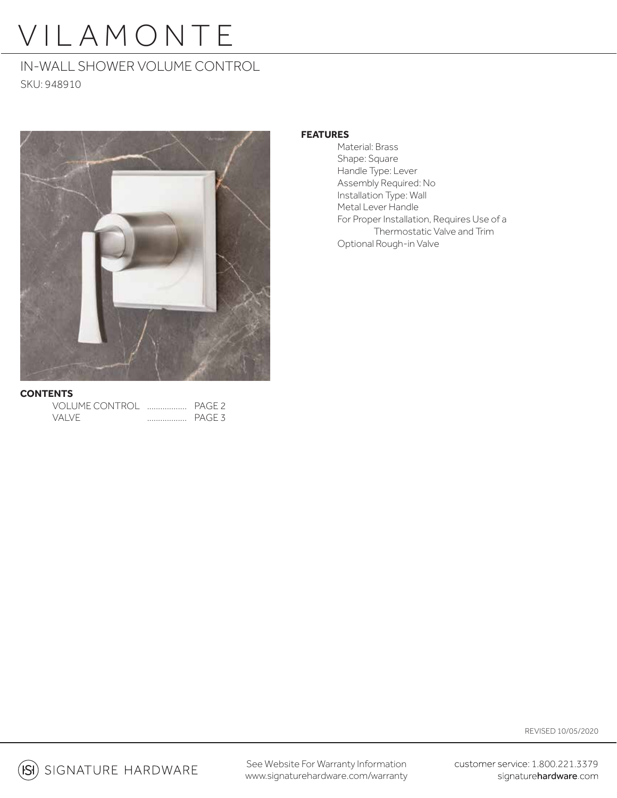# VILAMONTE

### IN-WALL SHOWER VOLUME CONTROL SKU: 948910



### **FEATURES**

 Material: Brass Shape: Square Handle Type: Lever Assembly Required: No Installation Type: Wall Metal Lever Handle For Proper Installation, Requires Use of a Thermostatic Valve and Trim Optional Rough-in Valve

#### **CONTENTS**

| VOLUME CONTROL |   | PAGE <sub>2</sub> |
|----------------|---|-------------------|
| VAI VF         | . | PAGE <sub>3</sub> |

REVISED 10/05/2020

(ISI) SIGNATURE HARDWARE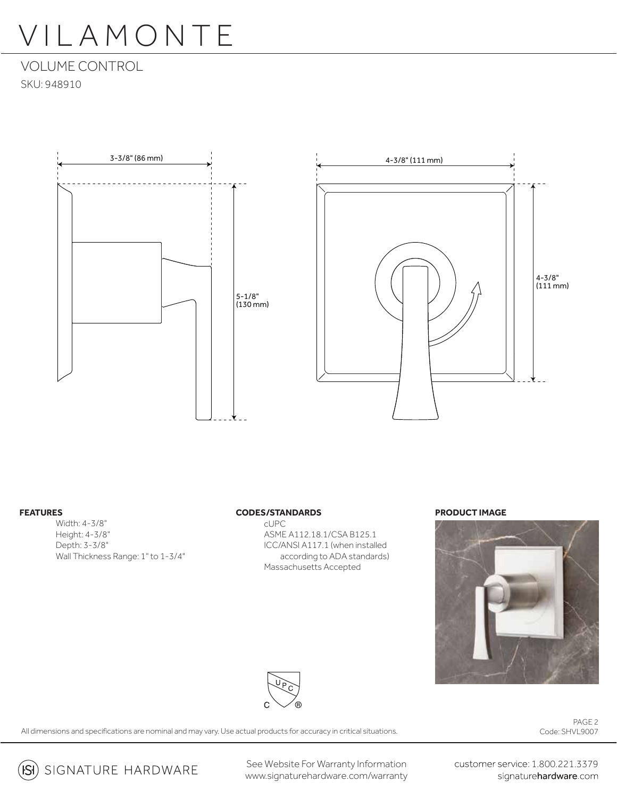## VILAMONTE

VOLUME CONTROL SKU: 948910





#### **FEATURES**

Width: 4-3/8" Height: 4-3/8" Depth: 3-3/8" Wall Thickness Range: 1" to 1-3/4"

#### **CODES/STANDARDS**

cUPC ASME A112.18.1/CSA B125.1 ICC/ANSI A117.1 (when installed according to ADA standards) Massachusetts Accepted

#### **PRODUCT IMAGE**





All dimensions and specifications are nominal and may vary. Use actual products for accuracy in critical situations.

PAGE 2 Code: SHVL9007

(S) SIGNATURE HARDWARE

See Website For Warranty Information www.signaturehardware.com/warranty

customer service: 1.800.221.3379 signaturehardware.com